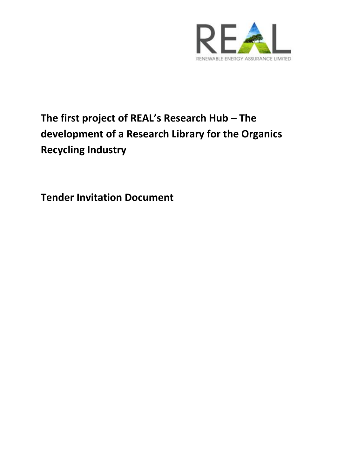

# **The first project of REAL's Research Hub – The development of a Research Library for the Organics Recycling Industry**

**Tender Invitation Document**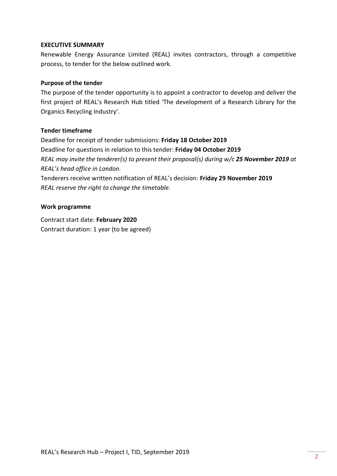### **EXECUTIVE SUMMARY**

Renewable Energy Assurance Limited (REAL) invites contractors, through a competitive process, to tender for the below outlined work.

# **Purpose of the tender**

The purpose of the tender opportunity is to appoint a contractor to develop and deliver the first project of REAL's Research Hub titled 'The development of a Research Library for the Organics Recycling Industry'.

### **Tender timeframe**

Deadline for receipt of tender submissions: **Friday 18 October 2019** Deadline for questions in relation to this tender: **Friday 04 October 2019** *REAL may invite the tenderer(s) to present their proposal(s) during w/c 25 November 2019 at REAL's head office in London.* Tenderers receive written notification of REAL's decision: **Friday 29 November 2019**

*REAL reserve the right to change the timetable.*

#### **Work programme**

Contract start date: **February 2020** Contract duration: 1 year (to be agreed)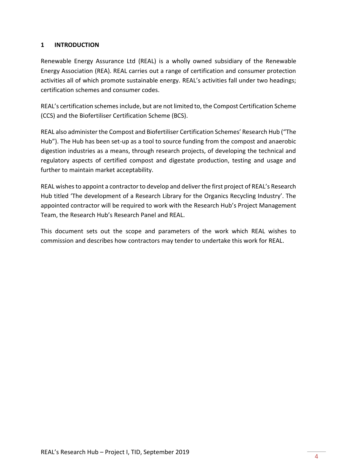# <span id="page-3-0"></span>**1 INTRODUCTION**

Renewable Energy Assurance Ltd (REAL) is a wholly owned subsidiary of the Renewable Energy Association (REA). REAL carries out a range of certification and consumer protection activities all of which promote sustainable energy. REAL's activities fall under two headings; certification schemes and consumer codes.

REAL's certification schemes include, but are not limited to, the Compost Certification Scheme (CCS) and the Biofertiliser Certification Scheme (BCS).

REAL also administer the Compost and Biofertiliser Certification Schemes' Research Hub ("The Hub"). The Hub has been set-up as a tool to source funding from the compost and anaerobic digestion industries as a means, through research projects, of developing the technical and regulatory aspects of certified compost and digestate production, testing and usage and further to maintain market acceptability.

REAL wishes to appoint a contractor to develop and deliver the first project of REAL's Research Hub titled 'The development of a Research Library for the Organics Recycling Industry'. The appointed contractor will be required to work with the Research Hub's Project Management Team, the Research Hub's Research Panel and REAL.

This document sets out the scope and parameters of the work which REAL wishes to commission and describes how contractors may tender to undertake this work for REAL.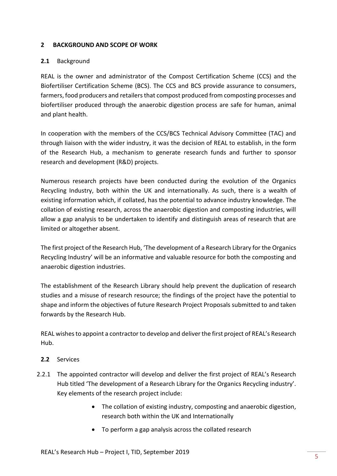# <span id="page-4-0"></span>**2 BACKGROUND AND SCOPE OF WORK**

# **2.1** Background

REAL is the owner and administrator of the Compost Certification Scheme (CCS) and the Biofertiliser Certification Scheme (BCS). The CCS and BCS provide assurance to consumers, farmers, food producers and retailers that compost produced from composting processes and biofertiliser produced through the anaerobic digestion process are safe for human, animal and plant health.

In cooperation with the members of the CCS/BCS Technical Advisory Committee (TAC) and through liaison with the wider industry, it was the decision of REAL to establish, in the form of the Research Hub, a mechanism to generate research funds and further to sponsor research and development (R&D) projects.

Numerous research projects have been conducted during the evolution of the Organics Recycling Industry, both within the UK and internationally. As such, there is a wealth of existing information which, if collated, has the potential to advance industry knowledge. The collation of existing research, across the anaerobic digestion and composting industries, will allow a gap analysis to be undertaken to identify and distinguish areas of research that are limited or altogether absent.

The first project of the Research Hub, 'The development of a Research Library for the Organics Recycling Industry' will be an informative and valuable resource for both the composting and anaerobic digestion industries.

The establishment of the Research Library should help prevent the duplication of research studies and a misuse of research resource; the findings of the project have the potential to shape and inform the objectives of future Research Project Proposals submitted to and taken forwards by the Research Hub.

REAL wishes to appoint a contractor to develop and deliver the first project of REAL's Research Hub.

# **2.2** Services

- 2.2.1 The appointed contractor will develop and deliver the first project of REAL's Research Hub titled 'The development of a Research Library for the Organics Recycling industry'. Key elements of the research project include:
	- The collation of existing industry, composting and anaerobic digestion, research both within the UK and Internationally
	- To perform a gap analysis across the collated research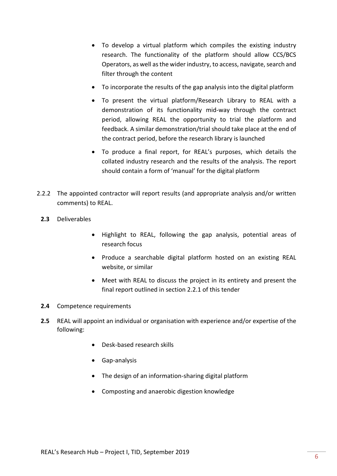- To develop a virtual platform which compiles the existing industry research. The functionality of the platform should allow CCS/BCS Operators, as well as the wider industry, to access, navigate, search and filter through the content
- To incorporate the results of the gap analysis into the digital platform
- To present the virtual platform/Research Library to REAL with a demonstration of its functionality mid-way through the contract period, allowing REAL the opportunity to trial the platform and feedback. A similar demonstration/trial should take place at the end of the contract period, before the research library is launched
- To produce a final report, for REAL's purposes, which details the collated industry research and the results of the analysis. The report should contain a form of 'manual' for the digital platform
- 2.2.2 The appointed contractor will report results (and appropriate analysis and/or written comments) to REAL.
	- **2.3** Deliverables
		- Highlight to REAL, following the gap analysis, potential areas of research focus
		- Produce a searchable digital platform hosted on an existing REAL website, or similar
		- Meet with REAL to discuss the project in its entirety and present the final report outlined in section 2.2.1 of this tender
	- **2.4** Competence requirements
	- **2.5** REAL will appoint an individual or organisation with experience and/or expertise of the following:
		- Desk-based research skills
		- Gap-analysis
		- The design of an information-sharing digital platform
		- Composting and anaerobic digestion knowledge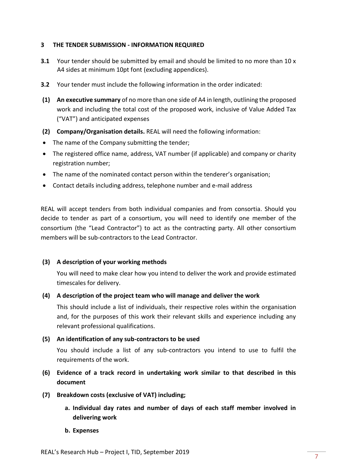### <span id="page-6-0"></span>**3 THE TENDER SUBMISSION - INFORMATION REQUIRED**

- **3.1** Your tender should be submitted by email and should be limited to no more than 10 x A4 sides at minimum 10pt font (excluding appendices).
- **3.2** Your tender must include the following information in the order indicated:
- **(1) An executive summary** of no more than one side of A4 in length, outlining the proposed work and including the total cost of the proposed work, inclusive of Value Added Tax ("VAT") and anticipated expenses
- **(2) Company/Organisation details.** REAL will need the following information:
- The name of the Company submitting the tender;
- The registered office name, address, VAT number (if applicable) and company or charity registration number;
- The name of the nominated contact person within the tenderer's organisation;
- Contact details including address, telephone number and e-mail address

REAL will accept tenders from both individual companies and from consortia. Should you decide to tender as part of a consortium, you will need to identify one member of the consortium (the "Lead Contractor") to act as the contracting party. All other consortium members will be sub-contractors to the Lead Contractor.

#### **(3) A description of your working methods**

You will need to make clear how you intend to deliver the work and provide estimated timescales for delivery.

#### **(4) A description of the project team who will manage and deliver the work**

This should include a list of individuals, their respective roles within the organisation and, for the purposes of this work their relevant skills and experience including any relevant professional qualifications.

#### **(5) An identification of any sub-contractors to be used**

You should include a list of any sub-contractors you intend to use to fulfil the requirements of the work.

# **(6) Evidence of a track record in undertaking work similar to that described in this document**

- **(7) Breakdown costs (exclusive of VAT) including;**
	- **a. Individual day rates and number of days of each staff member involved in delivering work**
	- **b. Expenses**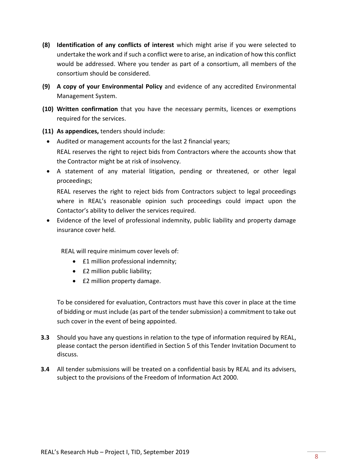- **(8) Identification of any conflicts of interest** which might arise if you were selected to undertake the work and if such a conflict were to arise, an indication of how this conflict would be addressed. Where you tender as part of a consortium, all members of the consortium should be considered.
- **(9) A copy of your Environmental Policy** and evidence of any accredited Environmental Management System.
- **(10) Written confirmation** that you have the necessary permits, licences or exemptions required for the services.
- **(11) As appendices,** tenders should include:
	- Audited or management accounts for the last 2 financial years;

REAL reserves the right to reject bids from Contractors where the accounts show that the Contractor might be at risk of insolvency.

• A statement of any material litigation, pending or threatened, or other legal proceedings;

REAL reserves the right to reject bids from Contractors subject to legal proceedings where in REAL's reasonable opinion such proceedings could impact upon the Contactor's ability to deliver the services required.

• Evidence of the level of professional indemnity, public liability and property damage insurance cover held.

REAL will require minimum cover levels of:

- £1 million professional indemnity;
- £2 million public liability;
- £2 million property damage.

To be considered for evaluation, Contractors must have this cover in place at the time of bidding or must include (as part of the tender submission) a commitment to take out such cover in the event of being appointed.

- **3.3** Should you have any questions in relation to the type of information required by REAL, please contact the person identified in Section 5 of this Tender Invitation Document to discuss.
- **3.4** All tender submissions will be treated on a confidential basis by REAL and its advisers, subject to the provisions of the Freedom of Information Act 2000.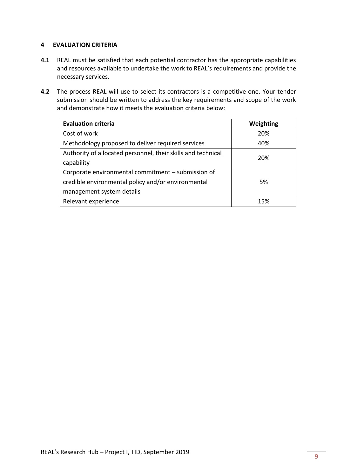# <span id="page-8-0"></span>**4 EVALUATION CRITERIA**

- **4.1** REAL must be satisfied that each potential contractor has the appropriate capabilities and resources available to undertake the work to REAL's requirements and provide the necessary services.
- **4.2** The process REAL will use to select its contractors is a competitive one. Your tender submission should be written to address the key requirements and scope of the work and demonstrate how it meets the evaluation criteria below:

| <b>Evaluation criteria</b>                                   | Weighting |  |
|--------------------------------------------------------------|-----------|--|
| Cost of work                                                 | 20%       |  |
| Methodology proposed to deliver required services            | 40%       |  |
| Authority of allocated personnel, their skills and technical | 20%       |  |
| capability                                                   |           |  |
| Corporate environmental commitment – submission of           | 5%        |  |
| credible environmental policy and/or environmental           |           |  |
| management system details                                    |           |  |
| Relevant experience                                          | 15%       |  |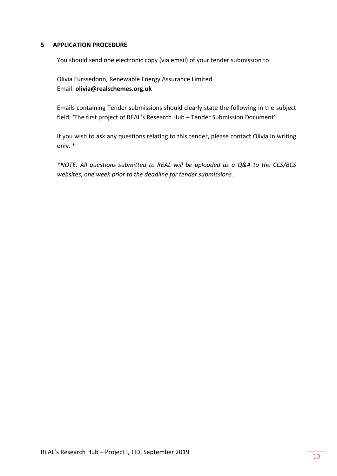#### <span id="page-9-0"></span>**5 APPLICATION PROCEDURE**

You should send one electronic copy (via email) of your tender submission to:

Olivia Furssedonn, Renewable Energy Assurance Limited Email: **olivia@realschemes.org.uk**

Emails containing Tender submissions should clearly state the following in the subject field: 'The first project of REAL's Research Hub – Tender Submission Document'

If you wish to ask any questions relating to this tender, please contact Olivia in writing only. \*

*\*NOTE: All questions submitted to REAL will be uploaded as a Q&A to the CCS/BCS websites, one week prior to the deadline for tender submissions.*